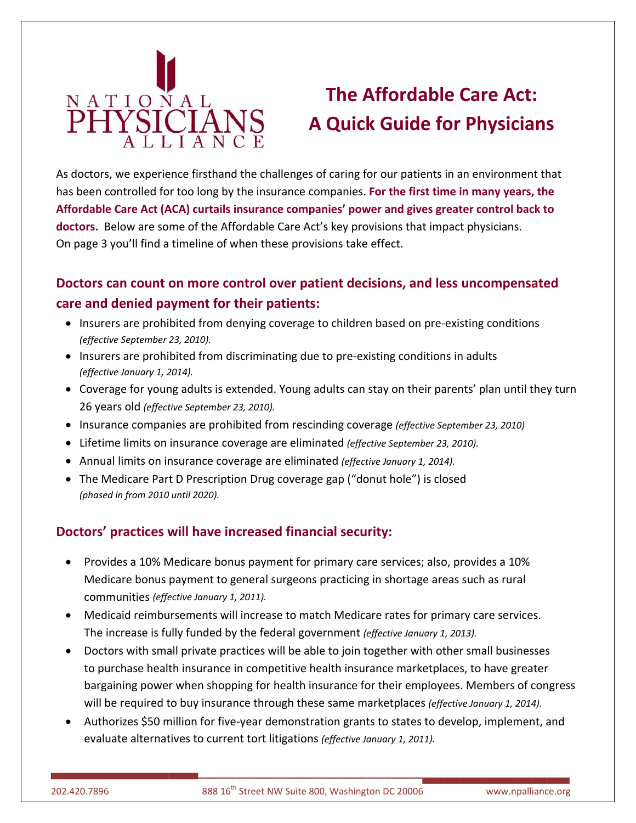

# **The Affordable Care Act: A Quick Guide for Physicians**

As doctors, we experience firsthand the challenges of caring for our patients in an environment that has been controlled for too long by the insurance companies. **For the first time in many years, the Affordable Care Act (ACA) curtails insurance companies' power and gives greater control back to doctors.** Below are some of the Affordable Care Act's key provisions that impact physicians. On page 3 you'll find a timeline of when these provisions take effect.

### **Doctors can count on more control over patient decisions, and less uncompensated care and denied payment for their patients:**

- Insurers are prohibited from denying coverage to children based on pre‐existing conditions *(effective September 23, 2010).*
- Insurers are prohibited from discriminating due to pre-existing conditions in adults *(effective January 1, 2014).*
- Coverage for young adults is extended. Young adults can stay on their parents' plan until they turn 26 years old *(effective September 23, 2010).*
- Insurance companies are prohibited from rescinding coverage *(effective September 23, 2010)*
- Lifetime limits on insurance coverage are eliminated *(effective September 23, 2010).*
- Annual limits on insurance coverage are eliminated *(effective January 1, 2014).*
- The Medicare Part D Prescription Drug coverage gap ("donut hole") is closed *(phased in from 2010 until 2020).*

### **Doctors' practices will have increased financial security:**

- Provides a 10% Medicare bonus payment for primary care services; also, provides a 10% Medicare bonus payment to general surgeons practicing in shortage areas such as rural communities *(effective January 1, 2011).*
- Medicaid reimbursements will increase to match Medicare rates for primary care services. The increase is fully funded by the federal government *(effective January 1, 2013).*
- Doctors with small private practices will be able to join together with other small businesses to purchase health insurance in competitive health insurance marketplaces, to have greater bargaining power when shopping for health insurance for their employees. Members of congress will be required to buy insurance through these same marketplaces *(effective January 1, 2014).*
- Authorizes \$50 million for five‐year demonstration grants to states to develop, implement, and evaluate alternatives to current tort litigations *(effective January 1, 2011).*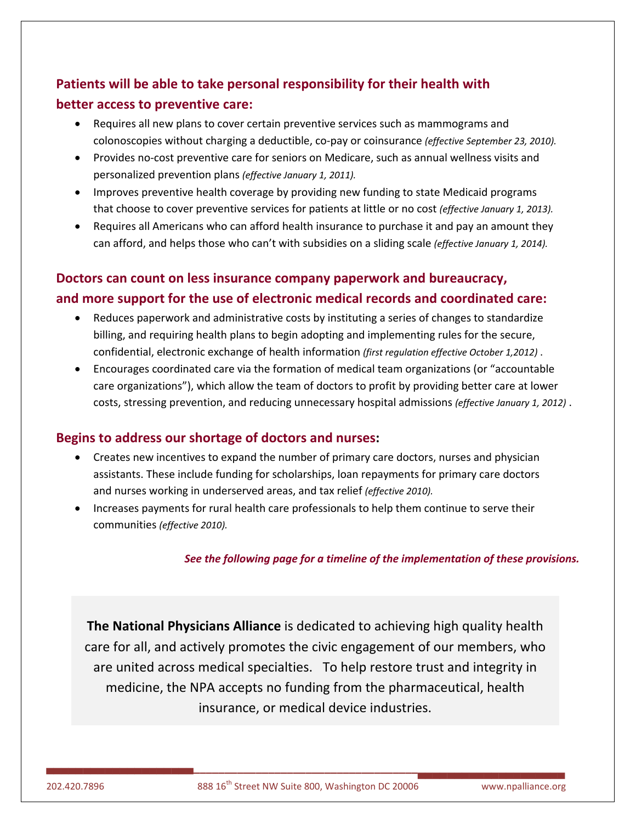## **Patients will be able to take personal responsibility for their health with better access to preventive care:**

- Requires all new plans to cover certain preventive services such as mammograms and colonoscopies without charging a deductible, co‐pay or coinsurance *(effective September 23, 2010).*
- Provides no‐cost preventive care for seniors on Medicare, such as annual wellness visits and personalized prevention plans *(effective January 1, 2011).*
- Improves preventive health coverage by providing new funding to state Medicaid programs that choose to cover preventive services for patients at little or no cost *(effective January 1, 2013).*
- Requires all Americans who can afford health insurance to purchase it and pay an amount they can afford, and helps those who can't with subsidies on a sliding scale *(effective January 1, 2014).*

### **Doctors can count on less insurance company paperwork and bureaucracy, and more support for the use of electronic medical records and coordinated care:**

- Reduces paperwork and administrative costs by instituting a series of changes to standardize billing, and requiring health plans to begin adopting and implementing rules for the secure, confidential, electronic exchange of health information *(first regulation effective October 1,2012)* .
- Encourages coordinated care via the formation of medical team organizations (or "accountable care organizations"), which allow the team of doctors to profit by providing better care at lower costs, stressing prevention, and reducing unnecessary hospital admissions *(effective January 1, 2012)* .

### **Begins to address our shortage of doctors and nurses:**

- Creates new incentives to expand the number of primary care doctors, nurses and physician assistants. These include funding for scholarships, loan repayments for primary care doctors and nurses working in underserved areas, and tax relief *(effective 2010).*
- Increases payments for rural health care professionals to help them continue to serve their communities *(effective 2010).*

*See the following page for a timeline of the implementation of these provisions.*

**The National Physicians Alliance** is dedicated to achieving high quality health care for all, and actively promotes the civic engagement of our members, who are united across medical specialties. To help restore trust and integrity in medicine, the NPA accepts no funding from the pharmaceutical, health insurance, or medical device industries.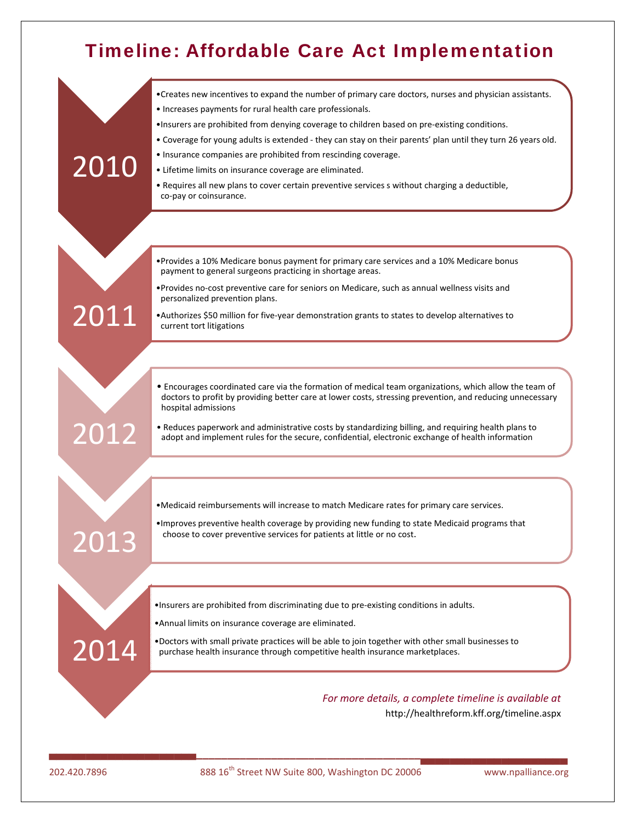# Timeline: Affordable Care Act Implementation



202.420.7896 888 16<sup>th</sup> Street NW Suite 800, Washington DC 20006 www.npalliance.org